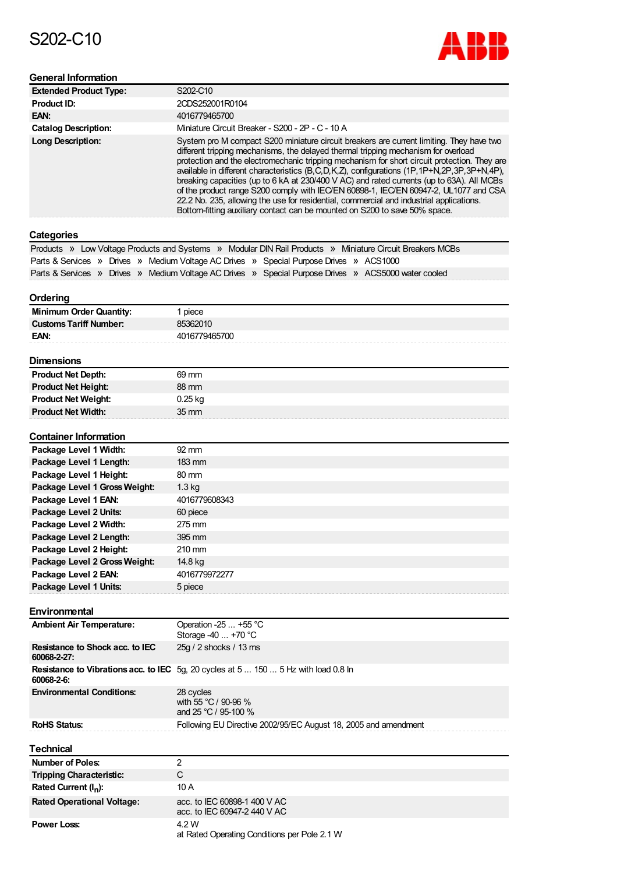# S202-C10



#### **General Information**

| <b>Extended Product Type:</b> | S202-C10                                                                                                                                                                                                                                                                                                                                                                                                                                                                                                                                                                                                                                                                                                                                    |
|-------------------------------|---------------------------------------------------------------------------------------------------------------------------------------------------------------------------------------------------------------------------------------------------------------------------------------------------------------------------------------------------------------------------------------------------------------------------------------------------------------------------------------------------------------------------------------------------------------------------------------------------------------------------------------------------------------------------------------------------------------------------------------------|
| <b>Product ID:</b>            | 2CDS252001R0104                                                                                                                                                                                                                                                                                                                                                                                                                                                                                                                                                                                                                                                                                                                             |
| EAN:                          | 4016779465700                                                                                                                                                                                                                                                                                                                                                                                                                                                                                                                                                                                                                                                                                                                               |
| <b>Catalog Description:</b>   | Miniature Circuit Breaker - S200 - 2P - C - 10 A                                                                                                                                                                                                                                                                                                                                                                                                                                                                                                                                                                                                                                                                                            |
| <b>Long Description:</b>      | System pro M compact S200 miniature circuit breakers are current limiting. They have two<br>different tripping mechanisms, the delayed thermal tripping mechanism for overload<br>protection and the electromechanic tripping mechanism for short circuit protection. They are<br>available in different characteristics (B,C,D,K,Z), configurations (1P,1P+N,2P,3P,3P+N,4P),<br>breaking capacities (up to 6 kA at 230/400 V AC) and rated currents (up to 63A). All MCBs<br>of the product range S200 comply with IEC/EN 60898-1, IEC/EN 60947-2, UL1077 and CSA<br>22.2 No. 235, allowing the use for residential, commercial and industrial applications.<br>Bottom-fitting auxiliary contact can be mounted on S200 to save 50% space. |

#### **Categories**

|                                                                                         | Products » Low Voltage Products and Systems » Modular DIN Rail Products » Miniature Circuit Breakers MCBs |
|-----------------------------------------------------------------------------------------|-----------------------------------------------------------------------------------------------------------|
| Parts & Services » Drives » Medium Voltage AC Drives » Special Purpose Drives » ACS1000 |                                                                                                           |
|                                                                                         | Parts & Services » Drives » Medium Voltage AC Drives » Special Purpose Drives » ACS5000 water cooled      |

#### **Ordering**

| -------                        |               |
|--------------------------------|---------------|
| <b>Minimum Order Quantity:</b> | piece         |
| <b>Customs Tariff Number:</b>  | 85362010      |
| EAN:                           | 4016779465700 |
|                                |               |

### **Dimensions**

| инспэрвэ                   |                 |
|----------------------------|-----------------|
| <b>Product Net Depth:</b>  | 69 mm           |
| <b>Product Net Height:</b> | 88 mm           |
| <b>Product Net Weight:</b> | $0.25$ kg       |
| <b>Product Net Width:</b>  | $35 \text{ mm}$ |

#### **Package Level 1 Width: Package Level 1 Length: Package Level 1 Height: Package Level 1 GrossWeight: Package Level 1 EAN: Package Level 2 Units: Package Level 2 Width: Package Level 2 Length: Package Level 2 Height: Package Level 2 GrossWeight: Package Level 2 EAN: Package Level 1 Units: Container Information** 92 mm 183 mm 80 mm 1.3 kg 4016779608343 60 piece 275 mm 395 mm 210 mm 14.8 kg 4016779972277 5 piece

#### **Environmental**

| <b>Ambient Air Temperature:</b>                | Operation -25 $\dots$ +55 °C<br>Storage $-40+70$ °C                                        |
|------------------------------------------------|--------------------------------------------------------------------------------------------|
| Resistance to Shock acc. to IEC<br>60068-2-27: | 25g / 2 shocks / 13 ms                                                                     |
| 60068-2-6:                                     | <b>Resistance to Vibrations acc. to IEC</b> 5g, 20 cycles at 5  150  5 Hz with load 0.8 ln |
| <b>Environmental Conditions:</b>               | 28 cycles<br>with 55 °C / 90-96 %<br>and 25 °C / 95-100 %                                  |
| <b>RoHS Status:</b>                            | Following EU Directive 2002/95/EC August 18, 2005 and amendment                            |

| <b>Technical</b>                  |                                                              |
|-----------------------------------|--------------------------------------------------------------|
| <b>Number of Poles:</b>           | っ                                                            |
| <b>Tripping Characteristic:</b>   | C                                                            |
| Rated Current $(I_n)$ :           | 10 A                                                         |
| <b>Rated Operational Voltage:</b> | acc. to IEC 60898-1 400 V AC<br>acc. to IEC 60947-2 440 V AC |
| <b>Power Loss:</b>                | 4.2 W<br>at Rated Operating Conditions per Pole 2.1 W        |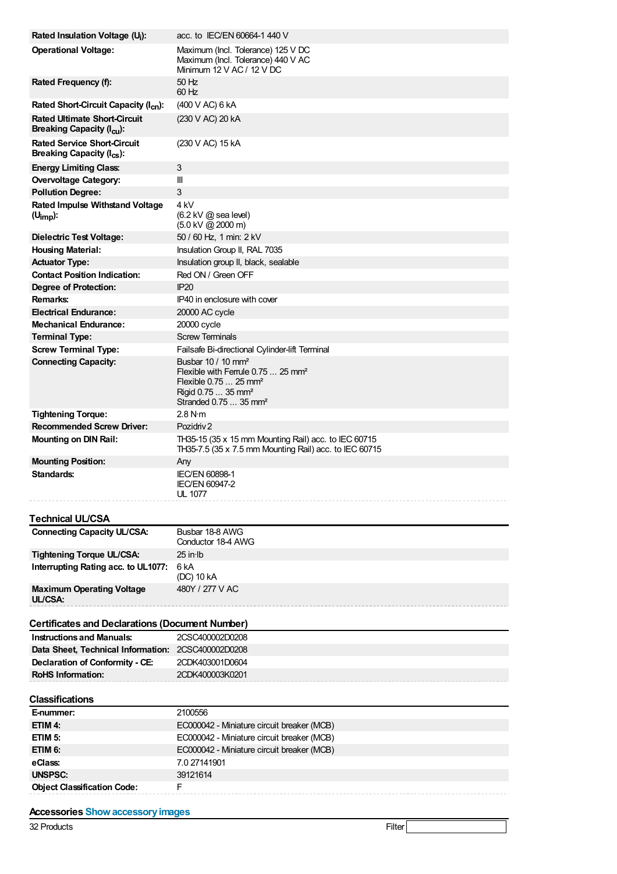| Rated Insulation Voltage (U <sub>i</sub> ):                                      | acc. to IEC/EN 60664-1 440 V                                                                                                                                                                  |
|----------------------------------------------------------------------------------|-----------------------------------------------------------------------------------------------------------------------------------------------------------------------------------------------|
| <b>Operational Voltage:</b>                                                      | Maximum (Incl. Tolerance) 125 V DC<br>Maximum (Incl. Tolerance) 440 V AC<br>Minimum $12$ V AC / $12$ V DC                                                                                     |
| Rated Frequency (f):                                                             | 50 Hz<br>$60$ Hz                                                                                                                                                                              |
| Rated Short-Circuit Capacity (I <sub>cn</sub> ):                                 | (400 V AC) 6 kA                                                                                                                                                                               |
| <b>Rated Ultimate Short-Circuit</b><br>Breaking Capacity (I <sub>cu</sub> ):     | (230 V AC) 20 kA                                                                                                                                                                              |
| <b>Rated Service Short-Circuit</b><br><b>Breaking Capacity (I<sub>cs</sub>):</b> | (230 V AC) 15 kA                                                                                                                                                                              |
| <b>Energy Limiting Class:</b>                                                    | 3                                                                                                                                                                                             |
| <b>Overvoltage Category:</b>                                                     | Ш                                                                                                                                                                                             |
| <b>Pollution Degree:</b>                                                         | 3                                                                                                                                                                                             |
| <b>Rated Impulse Withstand Voltage</b><br>$(U_{\text{imp}})$ :                   | 4 kV<br>$(6.2 \text{ kV} \text{ @ sea level})$<br>$(5.0 \text{ kV} \text{ @ } 2000 \text{ m})$                                                                                                |
| <b>Dielectric Test Voltage:</b>                                                  | 50 / 60 Hz, 1 min: 2 kV                                                                                                                                                                       |
| <b>Housing Material:</b>                                                         | Insulation Group II, RAL 7035                                                                                                                                                                 |
| <b>Actuator Type:</b>                                                            | Insulation group II, black, sealable                                                                                                                                                          |
| <b>Contact Position Indication:</b>                                              | Red ON / Green OFF                                                                                                                                                                            |
| Degree of Protection:                                                            | <b>IP20</b>                                                                                                                                                                                   |
| Remarks:                                                                         | IP40 in enclosure with cover                                                                                                                                                                  |
| <b>Electrical Endurance:</b>                                                     | 20000 AC cycle                                                                                                                                                                                |
| <b>Mechanical Endurance:</b>                                                     | 20000 cycle                                                                                                                                                                                   |
| <b>Terminal Type:</b>                                                            | <b>Screw Terminals</b>                                                                                                                                                                        |
| <b>Screw Terminal Type:</b>                                                      | Failsafe Bi-directional Cylinder-lift Terminal                                                                                                                                                |
| <b>Connecting Capacity:</b>                                                      | Busbar 10 / 10 mm <sup>2</sup><br>Flexible with Ferrule 0.75  25 mm <sup>2</sup><br>Flexible $0.75$ 25 mm <sup>2</sup><br>Rigid 0.75  35 mm <sup>2</sup><br>Stranded 0.75  35 mm <sup>2</sup> |
| <b>Tightening Torque:</b>                                                        | 2.8 N·m                                                                                                                                                                                       |
| <b>Recommended Screw Driver:</b>                                                 | Pozidriy 2                                                                                                                                                                                    |
| <b>Mounting on DIN Rail:</b>                                                     | TH35-15 (35 x 15 mm Mounting Rail) acc. to IEC 60715<br>TH35-7.5 (35 x 7.5 mm Mounting Rail) acc. to IEC 60715                                                                                |
| <b>Mounting Position:</b>                                                        | Any                                                                                                                                                                                           |
| Standards:                                                                       | <b>IEC/EN 60898-1</b><br><b>IEC/EN 60947-2</b><br>UL 1077                                                                                                                                     |
| Technical UL/CSA                                                                 |                                                                                                                                                                                               |
| <b>Connecting Capacity UL/CSA:</b>                                               | Busbar 18-8 AWG<br>Conductor 18-4 AWG                                                                                                                                                         |
| Tightening Torque UL/CSA:                                                        | 25 in Ib                                                                                                                                                                                      |
| Interrupting Rating acc. to UL1077:                                              | 6 kA<br>(DC) 10 kA                                                                                                                                                                            |
| <b>Maximum Operating Voltage</b><br>UL/CSA:                                      | 480Y / 277 V AC                                                                                                                                                                               |
| <b>Certificates and Declarations (Document Number)</b>                           |                                                                                                                                                                                               |
| <b>Instructions and Manuals:</b>                                                 | 2CSC400002D0208                                                                                                                                                                               |
| Data Sheet, Technical Information: 2CSC400002D0208                               |                                                                                                                                                                                               |
| Declaration of Conformity - CE:                                                  | 2CDK403001D0604                                                                                                                                                                               |
| <b>RoHS Information:</b>                                                         | 2CDK400003K0201                                                                                                                                                                               |
| Classifications                                                                  |                                                                                                                                                                                               |
| E-nummer:                                                                        | 2100556                                                                                                                                                                                       |
| ETIM 4:                                                                          | EC000042 - Miniature circuit breaker (MCB)                                                                                                                                                    |
| ETIM <sub>5:</sub>                                                               | EC000042 - Miniature circuit breaker (MCB)                                                                                                                                                    |
| ETIM 6:                                                                          | EC000042 - Miniature circuit breaker (MCB)                                                                                                                                                    |
| eClass:                                                                          | 7.0 27141901                                                                                                                                                                                  |
| <b>UNSPSC:</b>                                                                   | 39121614                                                                                                                                                                                      |
| <b>Object Classification Code:</b>                                               | F                                                                                                                                                                                             |
| <b>Accessories Show accessory images</b>                                         |                                                                                                                                                                                               |